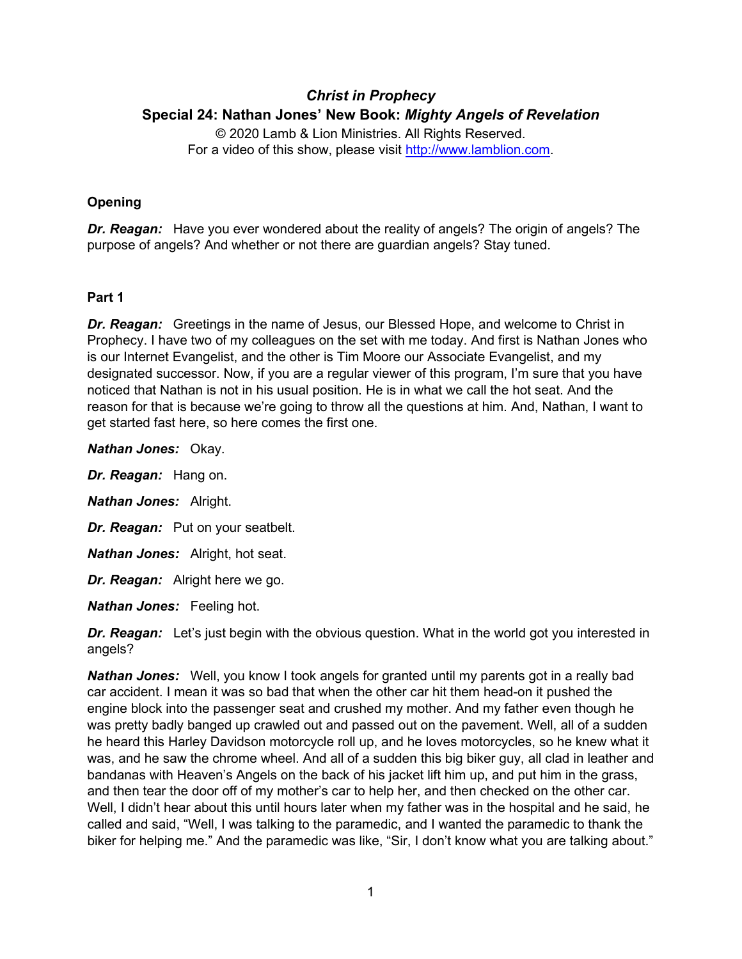# *Christ in Prophecy* **Special 24: Nathan Jones' New Book:** *Mighty Angels of Revelation*

© 2020 Lamb & Lion Ministries. All Rights Reserved. For a video of this show, please visit [http://www.lamblion.com.](http://www.lamblion.com/)

# **Opening**

*Dr. Reagan:* Have you ever wondered about the reality of angels? The origin of angels? The purpose of angels? And whether or not there are guardian angels? Stay tuned.

#### **Part 1**

*Dr. Reagan:* Greetings in the name of Jesus, our Blessed Hope, and welcome to Christ in Prophecy. I have two of my colleagues on the set with me today. And first is Nathan Jones who is our Internet Evangelist, and the other is Tim Moore our Associate Evangelist, and my designated successor. Now, if you are a regular viewer of this program, I'm sure that you have noticed that Nathan is not in his usual position. He is in what we call the hot seat. And the reason for that is because we're going to throw all the questions at him. And, Nathan, I want to get started fast here, so here comes the first one.

*Nathan Jones:* Okay.

*Dr. Reagan:* Hang on.

*Nathan Jones:* Alright.

*Dr. Reagan:* Put on your seatbelt.

*Nathan Jones:* Alright, hot seat.

*Dr. Reagan:* Alright here we go.

*Nathan Jones:* Feeling hot.

**Dr. Reagan:** Let's just begin with the obvious question. What in the world got you interested in angels?

*Nathan Jones:* Well, you know I took angels for granted until my parents got in a really bad car accident. I mean it was so bad that when the other car hit them head-on it pushed the engine block into the passenger seat and crushed my mother. And my father even though he was pretty badly banged up crawled out and passed out on the pavement. Well, all of a sudden he heard this Harley Davidson motorcycle roll up, and he loves motorcycles, so he knew what it was, and he saw the chrome wheel. And all of a sudden this big biker guy, all clad in leather and bandanas with Heaven's Angels on the back of his jacket lift him up, and put him in the grass, and then tear the door off of my mother's car to help her, and then checked on the other car. Well, I didn't hear about this until hours later when my father was in the hospital and he said, he called and said, "Well, I was talking to the paramedic, and I wanted the paramedic to thank the biker for helping me." And the paramedic was like, "Sir, I don't know what you are talking about."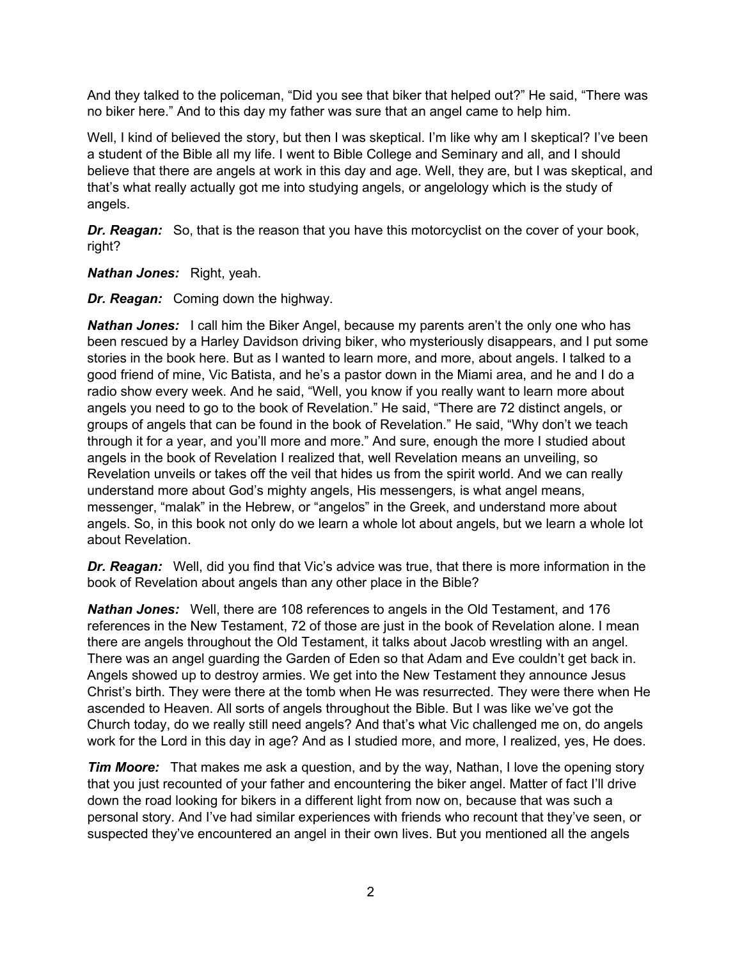And they talked to the policeman, "Did you see that biker that helped out?" He said, "There was no biker here." And to this day my father was sure that an angel came to help him.

Well, I kind of believed the story, but then I was skeptical. I'm like why am I skeptical? I've been a student of the Bible all my life. I went to Bible College and Seminary and all, and I should believe that there are angels at work in this day and age. Well, they are, but I was skeptical, and that's what really actually got me into studying angels, or angelology which is the study of angels.

*Dr. Reagan:* So, that is the reason that you have this motorcyclist on the cover of your book, right?

*Nathan Jones:* Right, yeah.

*Dr. Reagan:* Coming down the highway.

*Nathan Jones:* I call him the Biker Angel, because my parents aren't the only one who has been rescued by a Harley Davidson driving biker, who mysteriously disappears, and I put some stories in the book here. But as I wanted to learn more, and more, about angels. I talked to a good friend of mine, Vic Batista, and he's a pastor down in the Miami area, and he and I do a radio show every week. And he said, "Well, you know if you really want to learn more about angels you need to go to the book of Revelation." He said, "There are 72 distinct angels, or groups of angels that can be found in the book of Revelation." He said, "Why don't we teach through it for a year, and you'll more and more." And sure, enough the more I studied about angels in the book of Revelation I realized that, well Revelation means an unveiling, so Revelation unveils or takes off the veil that hides us from the spirit world. And we can really understand more about God's mighty angels, His messengers, is what angel means, messenger, "malak" in the Hebrew, or "angelos" in the Greek, and understand more about angels. So, in this book not only do we learn a whole lot about angels, but we learn a whole lot about Revelation.

*Dr. Reagan:* Well, did you find that Vic's advice was true, that there is more information in the book of Revelation about angels than any other place in the Bible?

*Nathan Jones:* Well, there are 108 references to angels in the Old Testament, and 176 references in the New Testament, 72 of those are just in the book of Revelation alone. I mean there are angels throughout the Old Testament, it talks about Jacob wrestling with an angel. There was an angel guarding the Garden of Eden so that Adam and Eve couldn't get back in. Angels showed up to destroy armies. We get into the New Testament they announce Jesus Christ's birth. They were there at the tomb when He was resurrected. They were there when He ascended to Heaven. All sorts of angels throughout the Bible. But I was like we've got the Church today, do we really still need angels? And that's what Vic challenged me on, do angels work for the Lord in this day in age? And as I studied more, and more, I realized, yes, He does.

*Tim Moore:* That makes me ask a question, and by the way, Nathan, I love the opening story that you just recounted of your father and encountering the biker angel. Matter of fact I'll drive down the road looking for bikers in a different light from now on, because that was such a personal story. And I've had similar experiences with friends who recount that they've seen, or suspected they've encountered an angel in their own lives. But you mentioned all the angels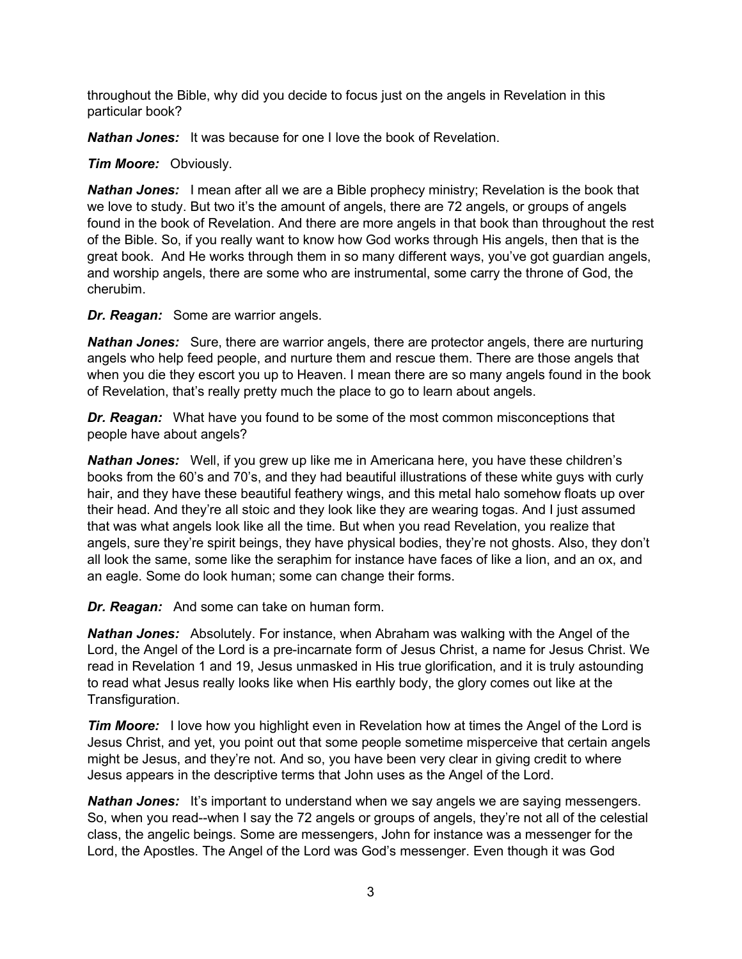throughout the Bible, why did you decide to focus just on the angels in Revelation in this particular book?

*Nathan Jones:* It was because for one I love the book of Revelation.

*Tim Moore:* Obviously.

*Nathan Jones:* I mean after all we are a Bible prophecy ministry; Revelation is the book that we love to study. But two it's the amount of angels, there are 72 angels, or groups of angels found in the book of Revelation. And there are more angels in that book than throughout the rest of the Bible. So, if you really want to know how God works through His angels, then that is the great book. And He works through them in so many different ways, you've got guardian angels, and worship angels, there are some who are instrumental, some carry the throne of God, the cherubim.

*Dr. Reagan:* Some are warrior angels.

*Nathan Jones:* Sure, there are warrior angels, there are protector angels, there are nurturing angels who help feed people, and nurture them and rescue them. There are those angels that when you die they escort you up to Heaven. I mean there are so many angels found in the book of Revelation, that's really pretty much the place to go to learn about angels.

*Dr. Reagan:* What have you found to be some of the most common misconceptions that people have about angels?

*Nathan Jones:* Well, if you grew up like me in Americana here, you have these children's books from the 60's and 70's, and they had beautiful illustrations of these white guys with curly hair, and they have these beautiful feathery wings, and this metal halo somehow floats up over their head. And they're all stoic and they look like they are wearing togas. And I just assumed that was what angels look like all the time. But when you read Revelation, you realize that angels, sure they're spirit beings, they have physical bodies, they're not ghosts. Also, they don't all look the same, some like the seraphim for instance have faces of like a lion, and an ox, and an eagle. Some do look human; some can change their forms.

*Dr. Reagan:* And some can take on human form.

*Nathan Jones:* Absolutely. For instance, when Abraham was walking with the Angel of the Lord, the Angel of the Lord is a pre-incarnate form of Jesus Christ, a name for Jesus Christ. We read in Revelation 1 and 19, Jesus unmasked in His true glorification, and it is truly astounding to read what Jesus really looks like when His earthly body, the glory comes out like at the Transfiguration.

**Tim Moore:** I love how you highlight even in Revelation how at times the Angel of the Lord is Jesus Christ, and yet, you point out that some people sometime misperceive that certain angels might be Jesus, and they're not. And so, you have been very clear in giving credit to where Jesus appears in the descriptive terms that John uses as the Angel of the Lord.

**Nathan Jones:** It's important to understand when we say angels we are saying messengers. So, when you read--when I say the 72 angels or groups of angels, they're not all of the celestial class, the angelic beings. Some are messengers, John for instance was a messenger for the Lord, the Apostles. The Angel of the Lord was God's messenger. Even though it was God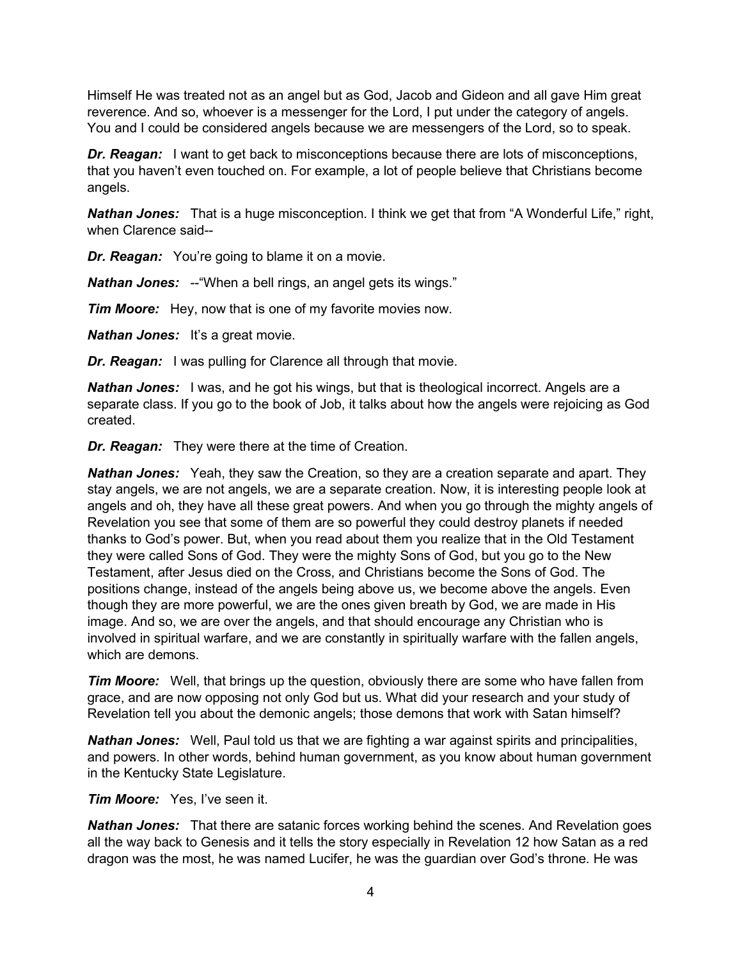Himself He was treated not as an angel but as God, Jacob and Gideon and all gave Him great reverence. And so, whoever is a messenger for the Lord, I put under the category of angels. You and I could be considered angels because we are messengers of the Lord, so to speak.

*Dr. Reagan:* I want to get back to misconceptions because there are lots of misconceptions, that you haven't even touched on. For example, a lot of people believe that Christians become angels.

*Nathan Jones:* That is a huge misconception. I think we get that from "A Wonderful Life," right, when Clarence said--

*Dr. Reagan:* You're going to blame it on a movie.

**Nathan Jones:** -- "When a bell rings, an angel gets its wings."

*Tim Moore:* Hey, now that is one of my favorite movies now.

**Nathan Jones:** It's a great movie.

*Dr. Reagan:* I was pulling for Clarence all through that movie.

**Nathan Jones:** I was, and he got his wings, but that is theological incorrect. Angels are a separate class. If you go to the book of Job, it talks about how the angels were rejoicing as God created.

*Dr. Reagan:* They were there at the time of Creation.

*Nathan Jones:* Yeah, they saw the Creation, so they are a creation separate and apart. They stay angels, we are not angels, we are a separate creation. Now, it is interesting people look at angels and oh, they have all these great powers. And when you go through the mighty angels of Revelation you see that some of them are so powerful they could destroy planets if needed thanks to God's power. But, when you read about them you realize that in the Old Testament they were called Sons of God. They were the mighty Sons of God, but you go to the New Testament, after Jesus died on the Cross, and Christians become the Sons of God. The positions change, instead of the angels being above us, we become above the angels. Even though they are more powerful, we are the ones given breath by God, we are made in His image. And so, we are over the angels, and that should encourage any Christian who is involved in spiritual warfare, and we are constantly in spiritually warfare with the fallen angels, which are demons.

*Tim Moore:* Well, that brings up the question, obviously there are some who have fallen from grace, and are now opposing not only God but us. What did your research and your study of Revelation tell you about the demonic angels; those demons that work with Satan himself?

*Nathan Jones:* Well, Paul told us that we are fighting a war against spirits and principalities, and powers. In other words, behind human government, as you know about human government in the Kentucky State Legislature.

#### *Tim Moore:* Yes, I've seen it.

*Nathan Jones:* That there are satanic forces working behind the scenes. And Revelation goes all the way back to Genesis and it tells the story especially in Revelation 12 how Satan as a red dragon was the most, he was named Lucifer, he was the guardian over God's throne. He was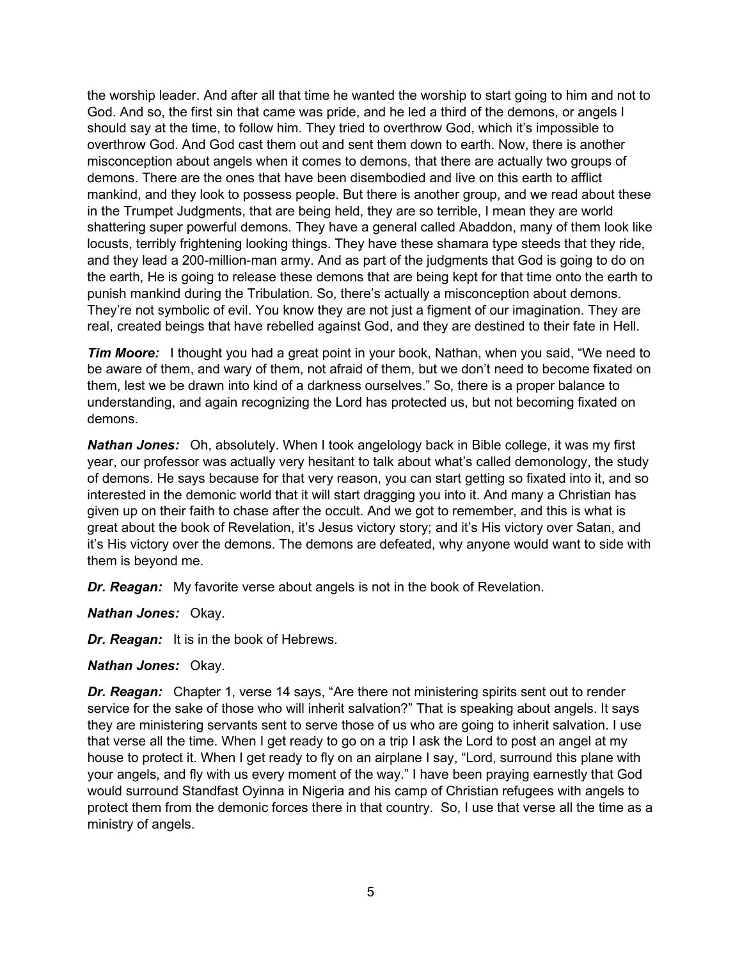the worship leader. And after all that time he wanted the worship to start going to him and not to God. And so, the first sin that came was pride, and he led a third of the demons, or angels I should say at the time, to follow him. They tried to overthrow God, which it's impossible to overthrow God. And God cast them out and sent them down to earth. Now, there is another misconception about angels when it comes to demons, that there are actually two groups of demons. There are the ones that have been disembodied and live on this earth to afflict mankind, and they look to possess people. But there is another group, and we read about these in the Trumpet Judgments, that are being held, they are so terrible, I mean they are world shattering super powerful demons. They have a general called Abaddon, many of them look like locusts, terribly frightening looking things. They have these shamara type steeds that they ride, and they lead a 200-million-man army. And as part of the judgments that God is going to do on the earth, He is going to release these demons that are being kept for that time onto the earth to punish mankind during the Tribulation. So, there's actually a misconception about demons. They're not symbolic of evil. You know they are not just a figment of our imagination. They are real, created beings that have rebelled against God, and they are destined to their fate in Hell.

**Tim Moore:** I thought you had a great point in your book, Nathan, when you said, "We need to be aware of them, and wary of them, not afraid of them, but we don't need to become fixated on them, lest we be drawn into kind of a darkness ourselves." So, there is a proper balance to understanding, and again recognizing the Lord has protected us, but not becoming fixated on demons.

*Nathan Jones:* Oh, absolutely. When I took angelology back in Bible college, it was my first year, our professor was actually very hesitant to talk about what's called demonology, the study of demons. He says because for that very reason, you can start getting so fixated into it, and so interested in the demonic world that it will start dragging you into it. And many a Christian has given up on their faith to chase after the occult. And we got to remember, and this is what is great about the book of Revelation, it's Jesus victory story; and it's His victory over Satan, and it's His victory over the demons. The demons are defeated, why anyone would want to side with them is beyond me.

*Dr. Reagan:* My favorite verse about angels is not in the book of Revelation.

*Nathan Jones:* Okay.

*Dr. Reagan:* It is in the book of Hebrews.

## *Nathan Jones:* Okay.

**Dr. Reagan:** Chapter 1, verse 14 says, "Are there not ministering spirits sent out to render service for the sake of those who will inherit salvation?" That is speaking about angels. It says they are ministering servants sent to serve those of us who are going to inherit salvation. I use that verse all the time. When I get ready to go on a trip I ask the Lord to post an angel at my house to protect it. When I get ready to fly on an airplane I say, "Lord, surround this plane with your angels, and fly with us every moment of the way." I have been praying earnestly that God would surround Standfast Oyinna in Nigeria and his camp of Christian refugees with angels to protect them from the demonic forces there in that country. So, I use that verse all the time as a ministry of angels.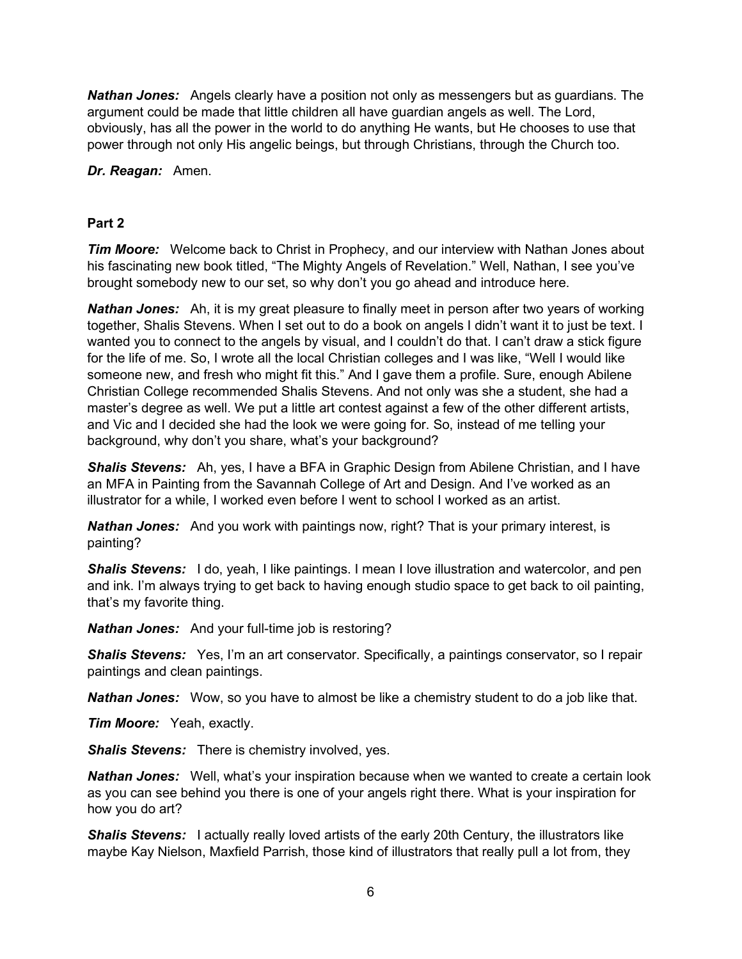*Nathan Jones:* Angels clearly have a position not only as messengers but as guardians. The argument could be made that little children all have guardian angels as well. The Lord, obviously, has all the power in the world to do anything He wants, but He chooses to use that power through not only His angelic beings, but through Christians, through the Church too.

*Dr. Reagan:* Amen.

# **Part 2**

*Tim Moore:* Welcome back to Christ in Prophecy, and our interview with Nathan Jones about his fascinating new book titled, "The Mighty Angels of Revelation." Well, Nathan, I see you've brought somebody new to our set, so why don't you go ahead and introduce here.

*Nathan Jones:* Ah, it is my great pleasure to finally meet in person after two years of working together, Shalis Stevens. When I set out to do a book on angels I didn't want it to just be text. I wanted you to connect to the angels by visual, and I couldn't do that. I can't draw a stick figure for the life of me. So, I wrote all the local Christian colleges and I was like, "Well I would like someone new, and fresh who might fit this." And I gave them a profile. Sure, enough Abilene Christian College recommended Shalis Stevens. And not only was she a student, she had a master's degree as well. We put a little art contest against a few of the other different artists, and Vic and I decided she had the look we were going for. So, instead of me telling your background, why don't you share, what's your background?

*Shalis Stevens:* Ah, yes, I have a BFA in Graphic Design from Abilene Christian, and I have an MFA in Painting from the Savannah College of Art and Design. And I've worked as an illustrator for a while, I worked even before I went to school I worked as an artist.

*Nathan Jones:* And you work with paintings now, right? That is your primary interest, is painting?

**Shalis Stevens:** I do, yeah, I like paintings. I mean I love illustration and watercolor, and pen and ink. I'm always trying to get back to having enough studio space to get back to oil painting, that's my favorite thing.

*Nathan Jones:* And your full-time job is restoring?

**Shalis Stevens:** Yes, I'm an art conservator. Specifically, a paintings conservator, so I repair paintings and clean paintings.

*Nathan Jones:* Wow, so you have to almost be like a chemistry student to do a job like that.

*Tim Moore:* Yeah, exactly.

*Shalis Stevens:* There is chemistry involved, yes.

**Nathan Jones:** Well, what's your inspiration because when we wanted to create a certain look as you can see behind you there is one of your angels right there. What is your inspiration for how you do art?

**Shalis Stevens:** I actually really loved artists of the early 20th Century, the illustrators like maybe Kay Nielson, Maxfield Parrish, those kind of illustrators that really pull a lot from, they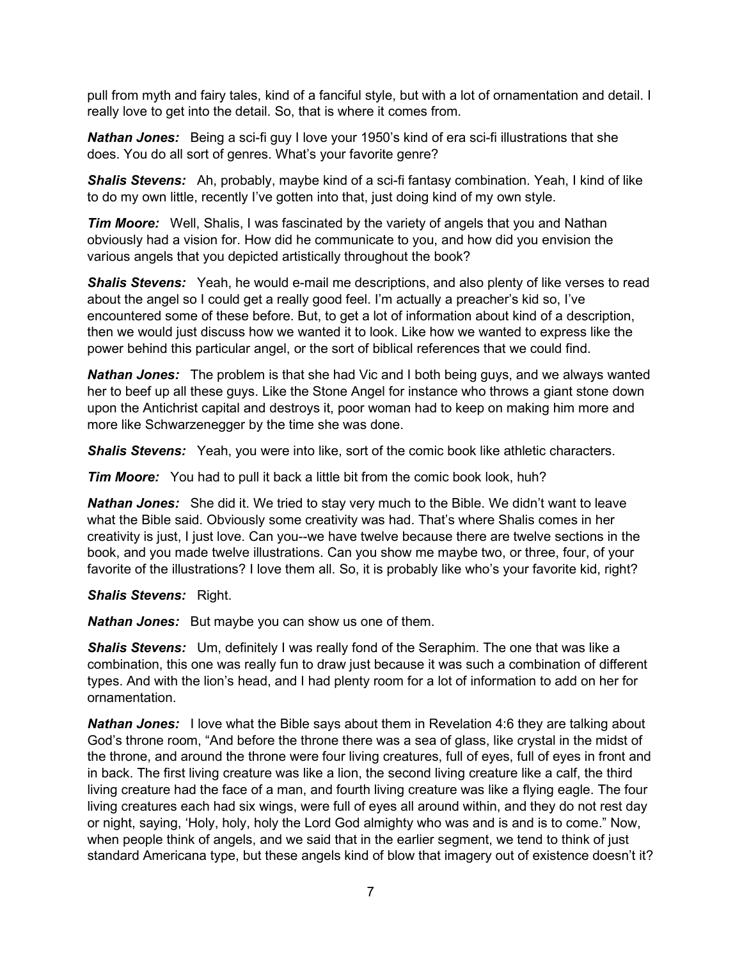pull from myth and fairy tales, kind of a fanciful style, but with a lot of ornamentation and detail. I really love to get into the detail. So, that is where it comes from.

*Nathan Jones:* Being a sci-fi guy I love your 1950's kind of era sci-fi illustrations that she does. You do all sort of genres. What's your favorite genre?

*Shalis Stevens:* Ah, probably, maybe kind of a sci-fi fantasy combination. Yeah, I kind of like to do my own little, recently I've gotten into that, just doing kind of my own style.

*Tim Moore:* Well, Shalis, I was fascinated by the variety of angels that you and Nathan obviously had a vision for. How did he communicate to you, and how did you envision the various angels that you depicted artistically throughout the book?

**Shalis Stevens:** Yeah, he would e-mail me descriptions, and also plenty of like verses to read about the angel so I could get a really good feel. I'm actually a preacher's kid so, I've encountered some of these before. But, to get a lot of information about kind of a description, then we would just discuss how we wanted it to look. Like how we wanted to express like the power behind this particular angel, or the sort of biblical references that we could find.

*Nathan Jones:* The problem is that she had Vic and I both being guys, and we always wanted her to beef up all these guys. Like the Stone Angel for instance who throws a giant stone down upon the Antichrist capital and destroys it, poor woman had to keep on making him more and more like Schwarzenegger by the time she was done.

*Shalis Stevens:* Yeah, you were into like, sort of the comic book like athletic characters.

*Tim Moore:* You had to pull it back a little bit from the comic book look, huh?

*Nathan Jones:* She did it. We tried to stay very much to the Bible. We didn't want to leave what the Bible said. Obviously some creativity was had. That's where Shalis comes in her creativity is just, I just love. Can you--we have twelve because there are twelve sections in the book, and you made twelve illustrations. Can you show me maybe two, or three, four, of your favorite of the illustrations? I love them all. So, it is probably like who's your favorite kid, right?

*Shalis Stevens:* Right.

*Nathan Jones:* But maybe you can show us one of them.

*Shalis Stevens:* Um, definitely I was really fond of the Seraphim. The one that was like a combination, this one was really fun to draw just because it was such a combination of different types. And with the lion's head, and I had plenty room for a lot of information to add on her for ornamentation.

*Nathan Jones:* I love what the Bible says about them in Revelation 4:6 they are talking about God's throne room, "And before the throne there was a sea of glass, like crystal in the midst of the throne, and around the throne were four living creatures, full of eyes, full of eyes in front and in back. The first living creature was like a lion, the second living creature like a calf, the third living creature had the face of a man, and fourth living creature was like a flying eagle. The four living creatures each had six wings, were full of eyes all around within, and they do not rest day or night, saying, 'Holy, holy, holy the Lord God almighty who was and is and is to come." Now, when people think of angels, and we said that in the earlier segment, we tend to think of just standard Americana type, but these angels kind of blow that imagery out of existence doesn't it?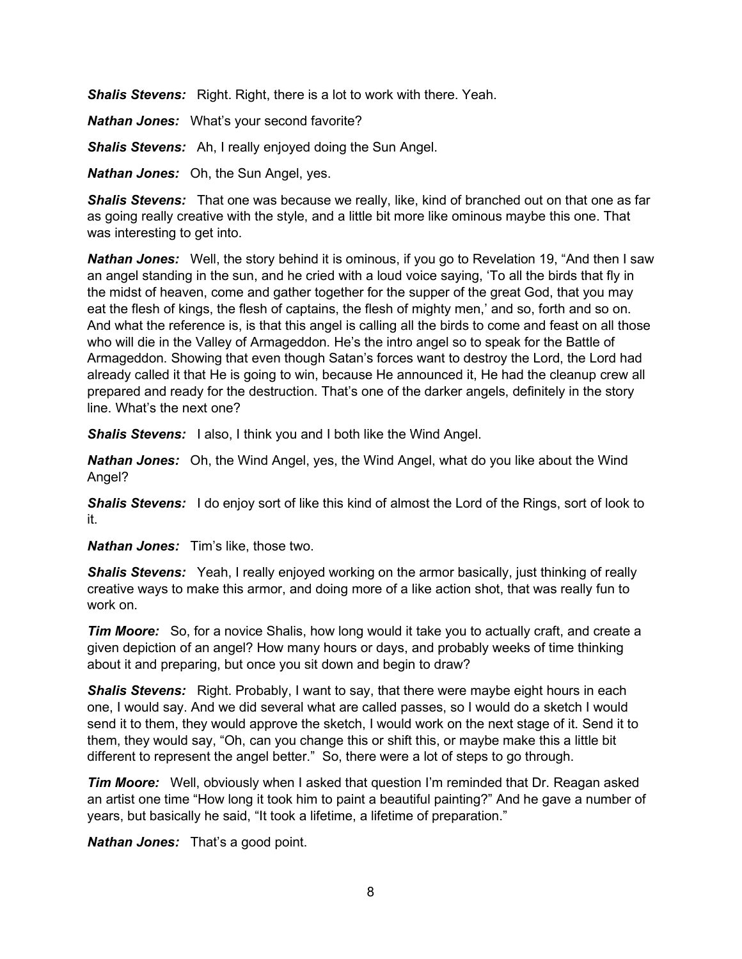*Shalis Stevens:* Right. Right, there is a lot to work with there. Yeah.

*Nathan Jones:* What's your second favorite?

*Shalis Stevens:* Ah, I really enjoyed doing the Sun Angel.

*Nathan Jones:* Oh, the Sun Angel, yes.

*Shalis Stevens:* That one was because we really, like, kind of branched out on that one as far as going really creative with the style, and a little bit more like ominous maybe this one. That was interesting to get into.

*Nathan Jones:* Well, the story behind it is ominous, if you go to Revelation 19, "And then I saw an angel standing in the sun, and he cried with a loud voice saying, 'To all the birds that fly in the midst of heaven, come and gather together for the supper of the great God, that you may eat the flesh of kings, the flesh of captains, the flesh of mighty men,' and so, forth and so on. And what the reference is, is that this angel is calling all the birds to come and feast on all those who will die in the Valley of Armageddon. He's the intro angel so to speak for the Battle of Armageddon. Showing that even though Satan's forces want to destroy the Lord, the Lord had already called it that He is going to win, because He announced it, He had the cleanup crew all prepared and ready for the destruction. That's one of the darker angels, definitely in the story line. What's the next one?

*Shalis Stevens:* I also, I think you and I both like the Wind Angel.

*Nathan Jones:* Oh, the Wind Angel, yes, the Wind Angel, what do you like about the Wind Angel?

*Shalis Stevens:* I do enjoy sort of like this kind of almost the Lord of the Rings, sort of look to it.

*Nathan Jones:* Tim's like, those two.

*Shalis Stevens:* Yeah, I really enjoyed working on the armor basically, just thinking of really creative ways to make this armor, and doing more of a like action shot, that was really fun to work on

*Tim Moore:* So, for a novice Shalis, how long would it take you to actually craft, and create a given depiction of an angel? How many hours or days, and probably weeks of time thinking about it and preparing, but once you sit down and begin to draw?

**Shalis Stevens:** Right. Probably, I want to say, that there were maybe eight hours in each one, I would say. And we did several what are called passes, so I would do a sketch I would send it to them, they would approve the sketch, I would work on the next stage of it. Send it to them, they would say, "Oh, can you change this or shift this, or maybe make this a little bit different to represent the angel better." So, there were a lot of steps to go through.

*Tim Moore:* Well, obviously when I asked that question I'm reminded that Dr. Reagan asked an artist one time "How long it took him to paint a beautiful painting?" And he gave a number of years, but basically he said, "It took a lifetime, a lifetime of preparation."

*Nathan Jones:* That's a good point.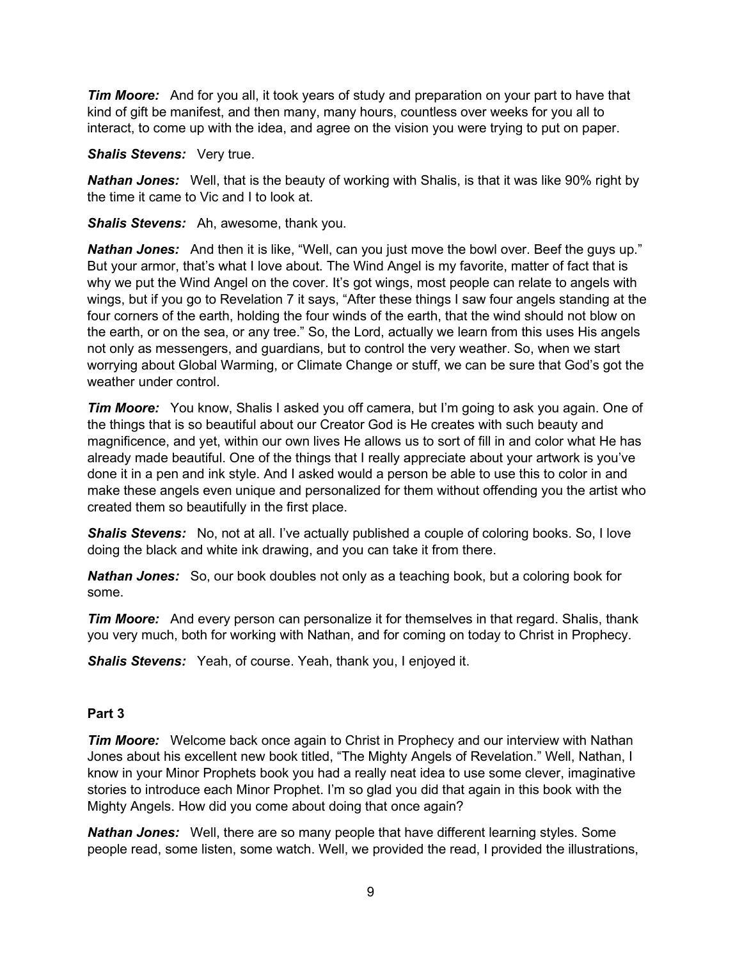*Tim Moore:* And for you all, it took years of study and preparation on your part to have that kind of gift be manifest, and then many, many hours, countless over weeks for you all to interact, to come up with the idea, and agree on the vision you were trying to put on paper.

#### *Shalis Stevens:* Very true.

*Nathan Jones:* Well, that is the beauty of working with Shalis, is that it was like 90% right by the time it came to Vic and I to look at.

*Shalis Stevens:* Ah, awesome, thank you.

*Nathan Jones:* And then it is like, "Well, can you just move the bowl over. Beef the guys up." But your armor, that's what I love about. The Wind Angel is my favorite, matter of fact that is why we put the Wind Angel on the cover. It's got wings, most people can relate to angels with wings, but if you go to Revelation 7 it says, "After these things I saw four angels standing at the four corners of the earth, holding the four winds of the earth, that the wind should not blow on the earth, or on the sea, or any tree." So, the Lord, actually we learn from this uses His angels not only as messengers, and guardians, but to control the very weather. So, when we start worrying about Global Warming, or Climate Change or stuff, we can be sure that God's got the weather under control

*Tim Moore:* You know, Shalis I asked you off camera, but I'm going to ask you again. One of the things that is so beautiful about our Creator God is He creates with such beauty and magnificence, and yet, within our own lives He allows us to sort of fill in and color what He has already made beautiful. One of the things that I really appreciate about your artwork is you've done it in a pen and ink style. And I asked would a person be able to use this to color in and make these angels even unique and personalized for them without offending you the artist who created them so beautifully in the first place.

*Shalis Stevens:* No, not at all. I've actually published a couple of coloring books. So, I love doing the black and white ink drawing, and you can take it from there.

*Nathan Jones:* So, our book doubles not only as a teaching book, but a coloring book for some.

*Tim Moore:* And every person can personalize it for themselves in that regard. Shalis, thank you very much, both for working with Nathan, and for coming on today to Christ in Prophecy.

*Shalis Stevens:* Yeah, of course. Yeah, thank you, I enjoyed it.

## **Part 3**

*Tim Moore:* Welcome back once again to Christ in Prophecy and our interview with Nathan Jones about his excellent new book titled, "The Mighty Angels of Revelation." Well, Nathan, I know in your Minor Prophets book you had a really neat idea to use some clever, imaginative stories to introduce each Minor Prophet. I'm so glad you did that again in this book with the Mighty Angels. How did you come about doing that once again?

*Nathan Jones:* Well, there are so many people that have different learning styles. Some people read, some listen, some watch. Well, we provided the read, I provided the illustrations,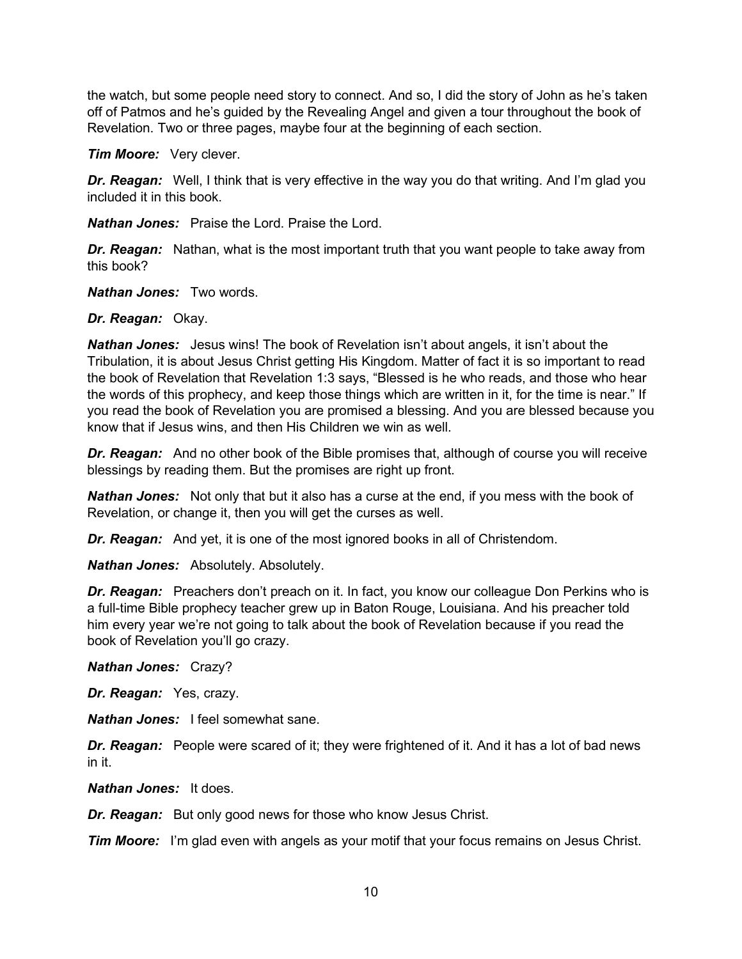the watch, but some people need story to connect. And so, I did the story of John as he's taken off of Patmos and he's guided by the Revealing Angel and given a tour throughout the book of Revelation. Two or three pages, maybe four at the beginning of each section.

*Tim Moore:* Very clever.

*Dr. Reagan:* Well, I think that is very effective in the way you do that writing. And I'm glad you included it in this book.

*Nathan Jones:* Praise the Lord. Praise the Lord.

*Dr. Reagan:* Nathan, what is the most important truth that you want people to take away from this book?

*Nathan Jones:* Two words.

*Dr. Reagan:* Okay.

*Nathan Jones:* Jesus wins! The book of Revelation isn't about angels, it isn't about the Tribulation, it is about Jesus Christ getting His Kingdom. Matter of fact it is so important to read the book of Revelation that Revelation 1:3 says, "Blessed is he who reads, and those who hear the words of this prophecy, and keep those things which are written in it, for the time is near." If you read the book of Revelation you are promised a blessing. And you are blessed because you know that if Jesus wins, and then His Children we win as well.

*Dr. Reagan:* And no other book of the Bible promises that, although of course you will receive blessings by reading them. But the promises are right up front.

*Nathan Jones:* Not only that but it also has a curse at the end, if you mess with the book of Revelation, or change it, then you will get the curses as well.

*Dr. Reagan:* And yet, it is one of the most ignored books in all of Christendom.

*Nathan Jones:* Absolutely. Absolutely.

**Dr. Reagan:** Preachers don't preach on it. In fact, you know our colleague Don Perkins who is a full-time Bible prophecy teacher grew up in Baton Rouge, Louisiana. And his preacher told him every year we're not going to talk about the book of Revelation because if you read the book of Revelation you'll go crazy.

*Nathan Jones:* Crazy?

*Dr. Reagan:* Yes, crazy.

*Nathan Jones:* I feel somewhat sane.

**Dr. Reagan:** People were scared of it; they were frightened of it. And it has a lot of bad news in it.

*Nathan Jones:* It does.

**Dr. Reagan:** But only good news for those who know Jesus Christ.

*Tim Moore:* I'm glad even with angels as your motif that your focus remains on Jesus Christ.